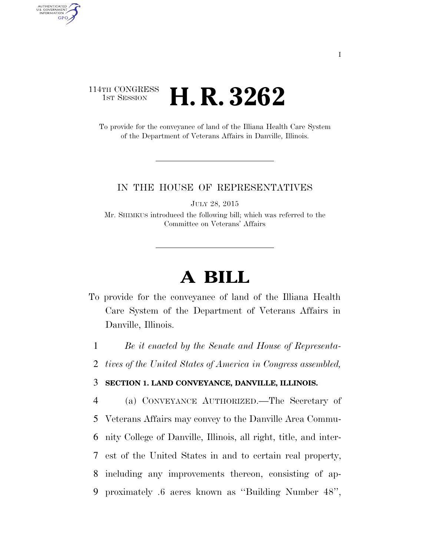## 114TH CONGRESS 1st Session **H. R. 3262**

AUTHENTICATED<br>U.S. GOVERNMENT<br>INFORMATION **GPO** 

> To provide for the conveyance of land of the Illiana Health Care System of the Department of Veterans Affairs in Danville, Illinois.

## IN THE HOUSE OF REPRESENTATIVES

JULY 28, 2015

Mr. SHIMKUS introduced the following bill; which was referred to the Committee on Veterans' Affairs

## **A BILL**

To provide for the conveyance of land of the Illiana Health Care System of the Department of Veterans Affairs in Danville, Illinois.

1 *Be it enacted by the Senate and House of Representa-*

2 *tives of the United States of America in Congress assembled,* 

## 3 **SECTION 1. LAND CONVEYANCE, DANVILLE, ILLINOIS.**

 (a) CONVEYANCE AUTHORIZED.—The Secretary of Veterans Affairs may convey to the Danville Area Commu- nity College of Danville, Illinois, all right, title, and inter- est of the United States in and to certain real property, including any improvements thereon, consisting of ap-proximately .6 acres known as ''Building Number 48'',